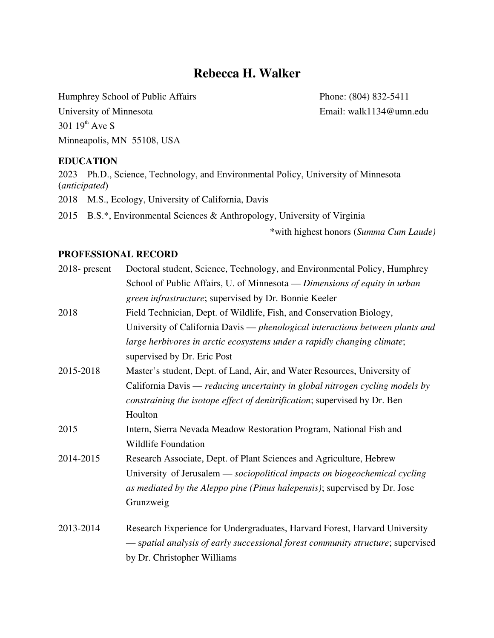# **Rebecca H. Walker**

Humphrey School of Public Affairs Phone: (804) 832-5411

University of Minnesota Email: walk1134@umn.edu 301  $19^{\text{th}}$  Ave S Minneapolis, MN 55108, USA

## **EDUCATION**

2023 Ph.D., Science, Technology, and Environmental Policy, University of Minnesota (*anticipated*)

2018 M.S., Ecology, University of California, Davis

2015 B.S.\*, Environmental Sciences & Anthropology, University of Virginia

\*with highest honors (*Summa Cum Laude)*

#### **PROFESSIONAL RECORD**

| $2018$ - present | Doctoral student, Science, Technology, and Environmental Policy, Humphrey       |
|------------------|---------------------------------------------------------------------------------|
|                  | School of Public Affairs, U. of Minnesota — Dimensions of equity in urban       |
|                  | green infrastructure; supervised by Dr. Bonnie Keeler                           |
| 2018             | Field Technician, Dept. of Wildlife, Fish, and Conservation Biology,            |
|                  | University of California Davis - phenological interactions between plants and   |
|                  | large herbivores in arctic ecosystems under a rapidly changing climate;         |
|                  | supervised by Dr. Eric Post                                                     |
| 2015-2018        | Master's student, Dept. of Land, Air, and Water Resources, University of        |
|                  | California Davis — reducing uncertainty in global nitrogen cycling models by    |
|                  | constraining the isotope effect of denitrification; supervised by Dr. Ben       |
|                  | Houlton                                                                         |
| 2015             | Intern, Sierra Nevada Meadow Restoration Program, National Fish and             |
|                  | <b>Wildlife Foundation</b>                                                      |
| 2014-2015        | Research Associate, Dept. of Plant Sciences and Agriculture, Hebrew             |
|                  | University of Jerusalem — sociopolitical impacts on biogeochemical cycling      |
|                  | as mediated by the Aleppo pine (Pinus halepensis); supervised by Dr. Jose       |
|                  | Grunzweig                                                                       |
| 2013-2014        | Research Experience for Undergraduates, Harvard Forest, Harvard University      |
|                  | - spatial analysis of early successional forest community structure; supervised |
|                  | by Dr. Christopher Williams                                                     |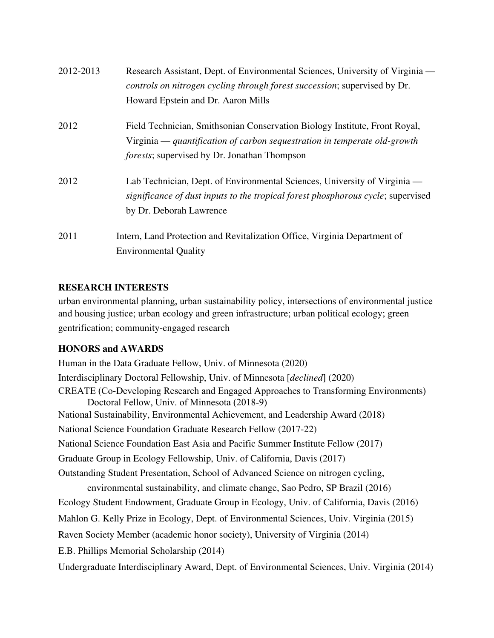| 2012-2013 | Research Assistant, Dept. of Environmental Sciences, University of Virginia —    |
|-----------|----------------------------------------------------------------------------------|
|           | controls on nitrogen cycling through forest succession; supervised by Dr.        |
|           | Howard Epstein and Dr. Aaron Mills                                               |
| 2012      | Field Technician, Smithsonian Conservation Biology Institute, Front Royal,       |
|           | Virginia — quantification of carbon sequestration in temperate old-growth        |
|           | <i>forests</i> ; supervised by Dr. Jonathan Thompson                             |
| 2012      | Lab Technician, Dept. of Environmental Sciences, University of Virginia —        |
|           | significance of dust inputs to the tropical forest phosphorous cycle; supervised |
|           | by Dr. Deborah Lawrence                                                          |
| 2011      | Intern, Land Protection and Revitalization Office, Virginia Department of        |
|           | <b>Environmental Quality</b>                                                     |

# **RESEARCH INTERESTS**

urban environmental planning, urban sustainability policy, intersections of environmental justice and housing justice; urban ecology and green infrastructure; urban political ecology; green gentrification; community-engaged research

# **HONORS and AWARDS**

Human in the Data Graduate Fellow, Univ. of Minnesota (2020) Interdisciplinary Doctoral Fellowship, Univ. of Minnesota [*declined*] (2020) CREATE (Co-Developing Research and Engaged Approaches to Transforming Environments) Doctoral Fellow, Univ. of Minnesota (2018-9) National Sustainability, Environmental Achievement, and Leadership Award (2018) National Science Foundation Graduate Research Fellow (2017-22) National Science Foundation East Asia and Pacific Summer Institute Fellow (2017) Graduate Group in Ecology Fellowship, Univ. of California, Davis (2017) Outstanding Student Presentation, School of Advanced Science on nitrogen cycling, environmental sustainability, and climate change, Sao Pedro, SP Brazil (2016) Ecology Student Endowment, Graduate Group in Ecology, Univ. of California, Davis (2016) Mahlon G. Kelly Prize in Ecology, Dept. of Environmental Sciences, Univ. Virginia (2015) Raven Society Member (academic honor society), University of Virginia (2014) E.B. Phillips Memorial Scholarship (2014) Undergraduate Interdisciplinary Award, Dept. of Environmental Sciences, Univ. Virginia (2014)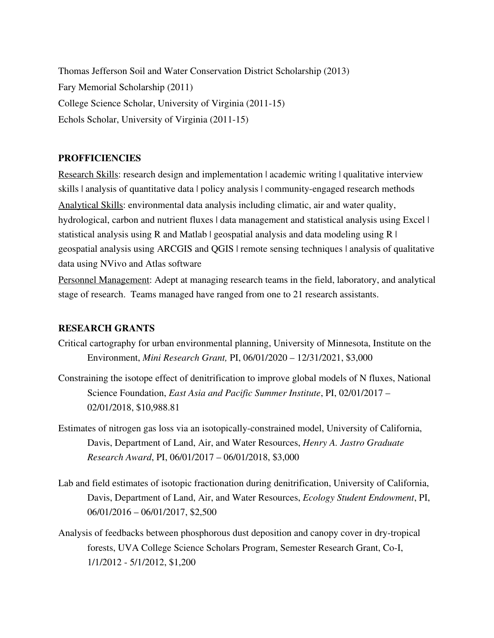Thomas Jefferson Soil and Water Conservation District Scholarship (2013) Fary Memorial Scholarship (2011) College Science Scholar, University of Virginia (2011-15) Echols Scholar, University of Virginia (2011-15)

### **PROFFICIENCIES**

Research Skills: research design and implementation | academic writing | qualitative interview skills | analysis of quantitative data | policy analysis | community-engaged research methods Analytical Skills: environmental data analysis including climatic, air and water quality, hydrological, carbon and nutrient fluxes | data management and statistical analysis using Excel | statistical analysis using R and Matlab | geospatial analysis and data modeling using  $R \mid$ geospatial analysis using ARCGIS and QGIS | remote sensing techniques | analysis of qualitative data using NVivo and Atlas software

Personnel Management: Adept at managing research teams in the field, laboratory, and analytical stage of research. Teams managed have ranged from one to 21 research assistants.

#### **RESEARCH GRANTS**

- Critical cartography for urban environmental planning, University of Minnesota, Institute on the Environment, *Mini Research Grant,* PI, 06/01/2020 – 12/31/2021, \$3,000
- Constraining the isotope effect of denitrification to improve global models of N fluxes, National Science Foundation, *East Asia and Pacific Summer Institute*, PI, 02/01/2017 – 02/01/2018, \$10,988.81
- Estimates of nitrogen gas loss via an isotopically-constrained model, University of California, Davis, Department of Land, Air, and Water Resources, *Henry A. Jastro Graduate Research Award*, PI, 06/01/2017 – 06/01/2018, \$3,000
- Lab and field estimates of isotopic fractionation during denitrification, University of California, Davis, Department of Land, Air, and Water Resources, *Ecology Student Endowment*, PI, 06/01/2016 – 06/01/2017, \$2,500
- Analysis of feedbacks between phosphorous dust deposition and canopy cover in dry-tropical forests, UVA College Science Scholars Program, Semester Research Grant, Co-I, 1/1/2012 - 5/1/2012, \$1,200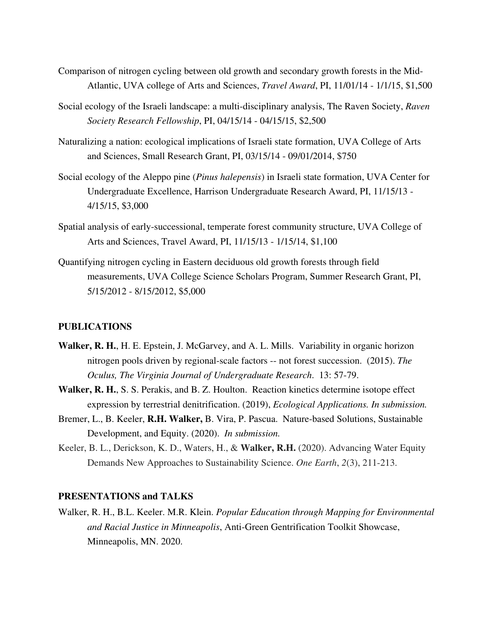- Comparison of nitrogen cycling between old growth and secondary growth forests in the Mid-Atlantic, UVA college of Arts and Sciences, *Travel Award*, PI, 11/01/14 - 1/1/15, \$1,500
- Social ecology of the Israeli landscape: a multi-disciplinary analysis, The Raven Society, *Raven Society Research Fellowship*, PI, 04/15/14 - 04/15/15, \$2,500
- Naturalizing a nation: ecological implications of Israeli state formation, UVA College of Arts and Sciences, Small Research Grant, PI, 03/15/14 - 09/01/2014, \$750
- Social ecology of the Aleppo pine (*Pinus halepensis*) in Israeli state formation, UVA Center for Undergraduate Excellence, Harrison Undergraduate Research Award, PI, 11/15/13 - 4/15/15, \$3,000
- Spatial analysis of early-successional, temperate forest community structure, UVA College of Arts and Sciences, Travel Award, PI, 11/15/13 - 1/15/14, \$1,100
- Quantifying nitrogen cycling in Eastern deciduous old growth forests through field measurements, UVA College Science Scholars Program, Summer Research Grant, PI, 5/15/2012 - 8/15/2012, \$5,000

#### **PUBLICATIONS**

- **Walker, R. H.**, H. E. Epstein, J. McGarvey, and A. L. Mills. Variability in organic horizon nitrogen pools driven by regional-scale factors -- not forest succession. (2015). *The Oculus, The Virginia Journal of Undergraduate Research*. 13: 57-79.
- **Walker, R. H.**, S. S. Perakis, and B. Z. Houlton. Reaction kinetics determine isotope effect expression by terrestrial denitrification. (2019), *Ecological Applications. In submission.*
- Bremer, L., B. Keeler, **R.H. Walker,** B. Vira, P. Pascua. Nature-based Solutions, Sustainable Development, and Equity. (2020). *In submission.*
- Keeler, B. L., Derickson, K. D., Waters, H., & **Walker, R.H.** (2020). Advancing Water Equity Demands New Approaches to Sustainability Science. *One Earth*, *2*(3), 211-213.

#### **PRESENTATIONS and TALKS**

Walker, R. H., B.L. Keeler. M.R. Klein. *Popular Education through Mapping for Environmental and Racial Justice in Minneapolis*, Anti-Green Gentrification Toolkit Showcase, Minneapolis, MN. 2020.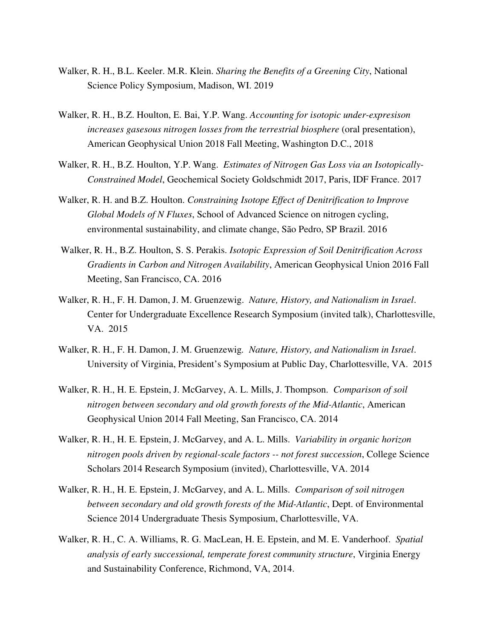- Walker, R. H., B.L. Keeler. M.R. Klein. *Sharing the Benefits of a Greening City*, National Science Policy Symposium, Madison, WI. 2019
- Walker, R. H., B.Z. Houlton, E. Bai, Y.P. Wang. *Accounting for isotopic under-expresison increases gasesous nitrogen losses from the terrestrial biosphere* (oral presentation), American Geophysical Union 2018 Fall Meeting, Washington D.C., 2018
- Walker, R. H., B.Z. Houlton, Y.P. Wang. *Estimates of Nitrogen Gas Loss via an Isotopically-Constrained Model*, Geochemical Society Goldschmidt 2017, Paris, IDF France. 2017
- Walker, R. H. and B.Z. Houlton. *Constraining Isotope Effect of Denitrification to Improve Global Models of N Fluxes*, School of Advanced Science on nitrogen cycling, environmental sustainability, and climate change, São Pedro, SP Brazil. 2016
- Walker, R. H., B.Z. Houlton, S. S. Perakis. *Isotopic Expression of Soil Denitrification Across Gradients in Carbon and Nitrogen Availability*, American Geophysical Union 2016 Fall Meeting, San Francisco, CA. 2016
- Walker, R. H., F. H. Damon, J. M. Gruenzewig. *Nature, History, and Nationalism in Israel*. Center for Undergraduate Excellence Research Symposium (invited talk), Charlottesville, VA. 2015
- Walker, R. H., F. H. Damon, J. M. Gruenzewig*. Nature, History, and Nationalism in Israel*. University of Virginia, President's Symposium at Public Day, Charlottesville, VA. 2015
- Walker, R. H., H. E. Epstein, J. McGarvey, A. L. Mills, J. Thompson. *Comparison of soil nitrogen between secondary and old growth forests of the Mid-Atlantic*, American Geophysical Union 2014 Fall Meeting, San Francisco, CA. 2014
- Walker, R. H., H. E. Epstein, J. McGarvey, and A. L. Mills. *Variability in organic horizon nitrogen pools driven by regional-scale factors -- not forest succession*, College Science Scholars 2014 Research Symposium (invited), Charlottesville, VA. 2014
- Walker, R. H., H. E. Epstein, J. McGarvey, and A. L. Mills. *Comparison of soil nitrogen between secondary and old growth forests of the Mid-Atlantic*, Dept. of Environmental Science 2014 Undergraduate Thesis Symposium, Charlottesville, VA.
- Walker, R. H., C. A. Williams, R. G. MacLean, H. E. Epstein, and M. E. Vanderhoof. *Spatial analysis of early successional, temperate forest community structure*, Virginia Energy and Sustainability Conference, Richmond, VA, 2014.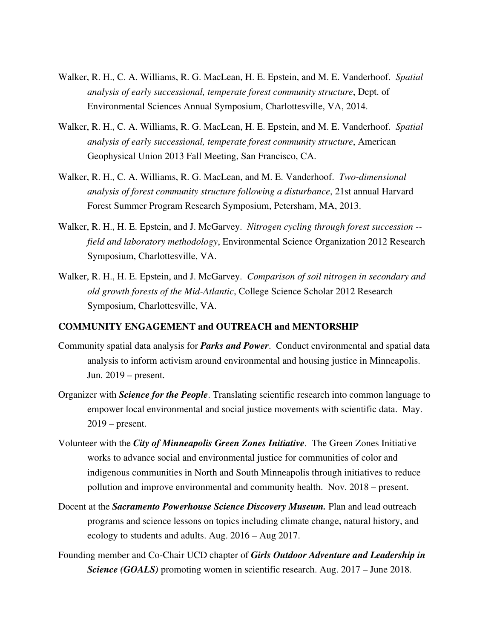- Walker, R. H., C. A. Williams, R. G. MacLean, H. E. Epstein, and M. E. Vanderhoof. *Spatial analysis of early successional, temperate forest community structure*, Dept. of Environmental Sciences Annual Symposium, Charlottesville, VA, 2014.
- Walker, R. H., C. A. Williams, R. G. MacLean, H. E. Epstein, and M. E. Vanderhoof. *Spatial analysis of early successional, temperate forest community structure*, American Geophysical Union 2013 Fall Meeting, San Francisco, CA.
- Walker, R. H., C. A. Williams, R. G. MacLean, and M. E. Vanderhoof. *Two-dimensional analysis of forest community structure following a disturbance*, 21st annual Harvard Forest Summer Program Research Symposium, Petersham, MA, 2013.
- Walker, R. H., H. E. Epstein, and J. McGarvey. *Nitrogen cycling through forest succession - field and laboratory methodology*, Environmental Science Organization 2012 Research Symposium, Charlottesville, VA.
- Walker, R. H., H. E. Epstein, and J. McGarvey. *Comparison of soil nitrogen in secondary and old growth forests of the Mid-Atlantic*, College Science Scholar 2012 Research Symposium, Charlottesville, VA.

#### **COMMUNITY ENGAGEMENT and OUTREACH and MENTORSHIP**

- Community spatial data analysis for *Parks and Power*. Conduct environmental and spatial data analysis to inform activism around environmental and housing justice in Minneapolis. Jun. 2019 – present.
- Organizer with *Science for the People*. Translating scientific research into common language to empower local environmental and social justice movements with scientific data. May. 2019 – present.
- Volunteer with the *City of Minneapolis Green Zones Initiative*. The Green Zones Initiative works to advance social and environmental justice for communities of color and indigenous communities in North and South Minneapolis through initiatives to reduce pollution and improve environmental and community health. Nov. 2018 – present.
- Docent at the *Sacramento Powerhouse Science Discovery Museum.* Plan and lead outreach programs and science lessons on topics including climate change, natural history, and ecology to students and adults. Aug. 2016 – Aug 2017.
- Founding member and Co-Chair UCD chapter of *Girls Outdoor Adventure and Leadership in Science (GOALS)* promoting women in scientific research. Aug. 2017 – June 2018.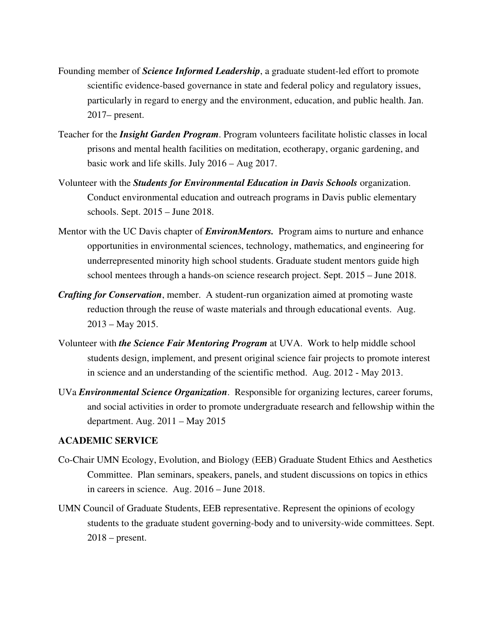- Founding member of *Science Informed Leadership*, a graduate student-led effort to promote scientific evidence-based governance in state and federal policy and regulatory issues, particularly in regard to energy and the environment, education, and public health. Jan. 2017– present.
- Teacher for the *Insight Garden Program*. Program volunteers facilitate holistic classes in local prisons and mental health facilities on meditation, ecotherapy, organic gardening, and basic work and life skills. July 2016 – Aug 2017.
- Volunteer with the *Students for Environmental Education in Davis Schools* organization. Conduct environmental education and outreach programs in Davis public elementary schools. Sept. 2015 – June 2018.
- Mentor with the UC Davis chapter of *EnvironMentors.* Program aims to nurture and enhance opportunities in environmental sciences, technology, mathematics, and engineering for underrepresented minority high school students. Graduate student mentors guide high school mentees through a hands-on science research project. Sept. 2015 – June 2018.
- *Crafting for Conservation*, member. A student-run organization aimed at promoting waste reduction through the reuse of waste materials and through educational events. Aug. 2013 – May 2015.
- Volunteer with *the Science Fair Mentoring Program* at UVA. Work to help middle school students design, implement, and present original science fair projects to promote interest in science and an understanding of the scientific method. Aug. 2012 - May 2013.
- UVa *Environmental Science Organization*. Responsible for organizing lectures, career forums, and social activities in order to promote undergraduate research and fellowship within the department. Aug. 2011 – May 2015

#### **ACADEMIC SERVICE**

- Co-Chair UMN Ecology, Evolution, and Biology (EEB) Graduate Student Ethics and Aesthetics Committee. Plan seminars, speakers, panels, and student discussions on topics in ethics in careers in science. Aug. 2016 – June 2018.
- UMN Council of Graduate Students, EEB representative. Represent the opinions of ecology students to the graduate student governing-body and to university-wide committees. Sept.  $2018$  – present.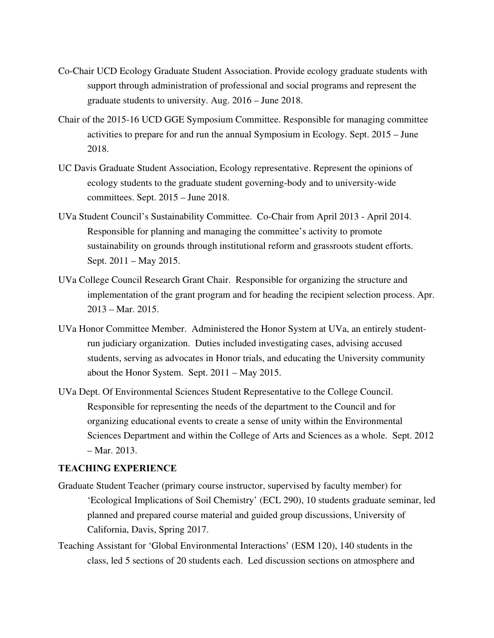- Co-Chair UCD Ecology Graduate Student Association. Provide ecology graduate students with support through administration of professional and social programs and represent the graduate students to university. Aug. 2016 – June 2018.
- Chair of the 2015-16 UCD GGE Symposium Committee. Responsible for managing committee activities to prepare for and run the annual Symposium in Ecology. Sept. 2015 – June 2018.
- UC Davis Graduate Student Association, Ecology representative. Represent the opinions of ecology students to the graduate student governing-body and to university-wide committees. Sept. 2015 – June 2018.
- UVa Student Council's Sustainability Committee. Co-Chair from April 2013 April 2014. Responsible for planning and managing the committee's activity to promote sustainability on grounds through institutional reform and grassroots student efforts. Sept. 2011 – May 2015.
- UVa College Council Research Grant Chair. Responsible for organizing the structure and implementation of the grant program and for heading the recipient selection process. Apr. 2013 – Mar. 2015.
- UVa Honor Committee Member. Administered the Honor System at UVa, an entirely studentrun judiciary organization. Duties included investigating cases, advising accused students, serving as advocates in Honor trials, and educating the University community about the Honor System. Sept. 2011 – May 2015.
- UVa Dept. Of Environmental Sciences Student Representative to the College Council. Responsible for representing the needs of the department to the Council and for organizing educational events to create a sense of unity within the Environmental Sciences Department and within the College of Arts and Sciences as a whole. Sept. 2012 – Mar. 2013.

#### **TEACHING EXPERIENCE**

- Graduate Student Teacher (primary course instructor, supervised by faculty member) for 'Ecological Implications of Soil Chemistry' (ECL 290), 10 students graduate seminar, led planned and prepared course material and guided group discussions, University of California, Davis, Spring 2017.
- Teaching Assistant for 'Global Environmental Interactions' (ESM 120), 140 students in the class, led 5 sections of 20 students each. Led discussion sections on atmosphere and